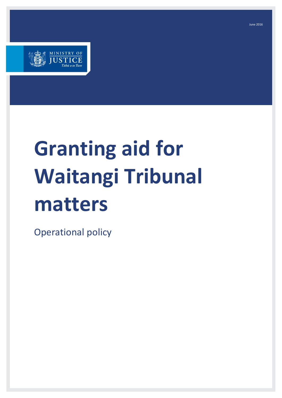

# **Granting aid for Waitangi Tribunal matters**

Operational policy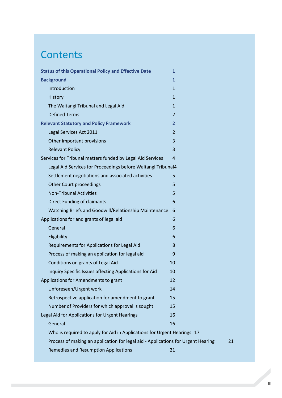## **Contents**

| <b>Status of this Operational Policy and Effective Date</b>                      | $\mathbf{1}$   |    |
|----------------------------------------------------------------------------------|----------------|----|
| <b>Background</b>                                                                | $\mathbf{1}$   |    |
| Introduction                                                                     | $\mathbf{1}$   |    |
| History                                                                          | $\mathbf{1}$   |    |
| The Waitangi Tribunal and Legal Aid                                              | $\mathbf{1}$   |    |
| <b>Defined Terms</b>                                                             | $\overline{2}$ |    |
| <b>Relevant Statutory and Policy Framework</b>                                   | $\mathbf{2}$   |    |
| Legal Services Act 2011                                                          | $\overline{2}$ |    |
| Other important provisions                                                       | 3              |    |
| <b>Relevant Policy</b>                                                           | 3              |    |
| Services for Tribunal matters funded by Legal Aid Services                       | $\overline{4}$ |    |
| Legal Aid Services for Proceedings before Waitangi Tribunal4                     |                |    |
| Settlement negotiations and associated activities                                | 5              |    |
| <b>Other Court proceedings</b>                                                   | 5              |    |
| <b>Non-Tribunal Activities</b>                                                   | 5              |    |
| <b>Direct Funding of claimants</b>                                               | 6              |    |
| Watching Briefs and Goodwill/Relationship Maintenance                            | 6              |    |
| Applications for and grants of legal aid                                         | 6              |    |
| General                                                                          | 6              |    |
| Eligibility                                                                      | 6              |    |
| Requirements for Applications for Legal Aid                                      | 8              |    |
| Process of making an application for legal aid                                   | 9              |    |
| Conditions on grants of Legal Aid                                                | 10             |    |
| Inquiry Specific Issues affecting Applications for Aid                           | 10             |    |
| Applications for Amendments to grant                                             | 12             |    |
| Unforeseen/Urgent work                                                           | 14             |    |
| Retrospective application for amendment to grant                                 | 15             |    |
| Number of Providers for which approval is sought                                 | 15             |    |
| Legal Aid for Applications for Urgent Hearings                                   | 16             |    |
| General                                                                          | 16             |    |
| Who is required to apply for Aid in Applications for Urgent Hearings 17          |                |    |
| Process of making an application for legal aid - Applications for Urgent Hearing |                | 21 |
| Remedies and Resumption Applications                                             | 21             |    |
|                                                                                  |                |    |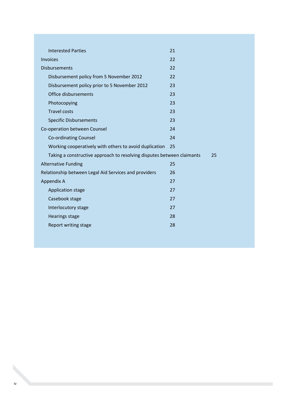| <b>Interested Parties</b>                                              | 21 |    |
|------------------------------------------------------------------------|----|----|
| <b>Invoices</b>                                                        | 22 |    |
| <b>Disbursements</b>                                                   | 22 |    |
| Disbursement policy from 5 November 2012                               | 22 |    |
| Disbursement policy prior to 5 November 2012                           | 23 |    |
| Office disbursements                                                   | 23 |    |
| Photocopying                                                           | 23 |    |
| <b>Travel costs</b>                                                    | 23 |    |
| <b>Specific Disbursements</b>                                          | 23 |    |
| Co-operation between Counsel                                           | 24 |    |
| Co-ordinating Counsel                                                  | 24 |    |
| Working cooperatively with others to avoid duplication                 | 25 |    |
| Taking a constructive approach to resolving disputes between claimants |    | 25 |
| <b>Alternative Funding</b>                                             | 25 |    |
| Relationship between Legal Aid Services and providers                  | 26 |    |
| Appendix A                                                             | 27 |    |
| Application stage                                                      | 27 |    |
| Casebook stage                                                         | 27 |    |
| Interlocutory stage                                                    | 27 |    |
| <b>Hearings stage</b>                                                  | 28 |    |
| Report writing stage                                                   | 28 |    |
|                                                                        |    |    |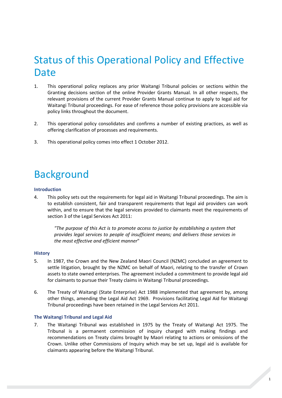## <span id="page-4-0"></span>Status of this Operational Policy and Effective Date

- 1. This operational policy replaces any prior Waitangi Tribunal policies or sections within the Granting decisions section of the online Provider Grants Manual. In all other respects, the relevant provisions of the current Provider Grants Manual continue to apply to legal aid for Waitangi Tribunal proceedings. For ease of reference those policy provisions are accessible via policy links throughout the document.
- 2. This operational policy consolidates and confirms a number of existing practices, as well as offering clarification of processes and requirements.
- <span id="page-4-1"></span>3. This operational policy comes into effect 1 October 2012.

# Background

### <span id="page-4-2"></span>**Introduction**

4. This policy sets out the requirements for legal aid in Waitangi Tribunal proceedings. The aim is to establish consistent, fair and transparent requirements that legal aid providers can work within, and to ensure that the legal services provided to claimants meet the requirements of section 3 of the Legal Services Act 2011:

*"The purpose of this Act is to promote access to justice by establishing a system that provides legal services to people of insufficient means; and delivers those services in the most effective and efficient manner*"

### <span id="page-4-3"></span>**History**

- 5. In 1987, the Crown and the New Zealand Maori Council (NZMC) concluded an agreement to settle litigation, brought by the NZMC on behalf of Maori, relating to the transfer of Crown assets to state owned enterprises. The agreement included a commitment to provide legal aid for claimants to pursue their Treaty claims in Waitangi Tribunal proceedings.
- 6. The Treaty of Waitangi (State Enterprise) Act 1988 implemented that agreement by, among other things, amending the Legal Aid Act 1969. Provisions facilitating Legal Aid for Waitangi Tribunal proceedings have been retained in the Legal Services Act 2011.

### <span id="page-4-4"></span>**The Waitangi Tribunal and Legal Aid**

7. The Waitangi Tribunal was established in 1975 by the Treaty of Waitangi Act 1975. The Tribunal is a permanent commission of inquiry charged with making findings and recommendations on Treaty claims brought by Maori relating to actions or omissions of the Crown. Unlike other Commissions of Inquiry which may be set up, legal aid is available for claimants appearing before the Waitangi Tribunal.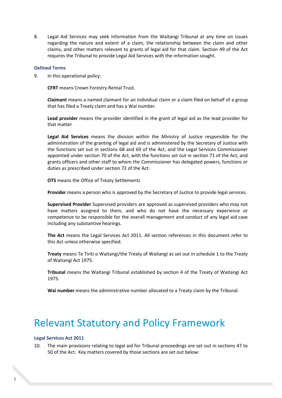8. Legal Aid Services may seek information from the Waitangi Tribunal at any time on issues regarding the nature and extent of a claim, the relationship between the claim and other claims, and other matters relevant to grants of legal aid for that claim. Section 49 of the Act requires the Tribunal to provide Legal Aid Services with the information sought.

### <span id="page-5-0"></span>**Defined Terms**

9. In this operational policy:

**CFRT** means Crown Forestry Rental Trust.

**Claimant** means a named claimant for an individual claim or a claim filed on behalf of a group that has filed a Treaty claim and has a Wai number.

**Lead provider** means the provider identified in the grant of legal aid as the lead provider for that matter

**Legal Aid Services** means the division within the Ministry of Justice responsible for the administration of the granting of legal aid and is administered by the Secretary of Justice with the functions set out in sections 68 and 69 of the Act, and the Legal Services Commissioner appointed under section 70 of the Act, with the functions set out in section 71 of the Act, and grants officers and other staff to whom the Commissioner has delegated powers, functions or duties as prescribed under section 72 of the Act.

**OTS** means the Office of Treaty Settlements

**Provider** means a person who is approved by the Secretary of Justice to provide legal services.

**Supervised Provider** Supervised providers are approved as supervised providers who may not have matters assigned to them, and who do not have the necessary experience or competence to be responsible for the overall management and conduct of any legal aid case including any substantive hearings.

**The Act** means the Legal Services Act 2011. All section references in this document refer to this Act unless otherwise specified.

**Treaty** means Te Tiriti o Waitangi/the Treaty of Waitangi as set out in schedule 1 to the Treaty of Waitangi Act 1975.

**Tribunal** means the Waitangi Tribunal established by section 4 of the Treaty of Waitangi Act 1975.

<span id="page-5-1"></span>**Wai number** means the administrative number allocated to a Treaty claim by the Tribunal.

### Relevant Statutory and Policy Framework

### <span id="page-5-2"></span>**Legal Services Act 2011**

10. The main provisions relating to legal aid for Tribunal proceedings are set out in sections 47 to 50 of the Act. Key matters covered by those sections are set out below: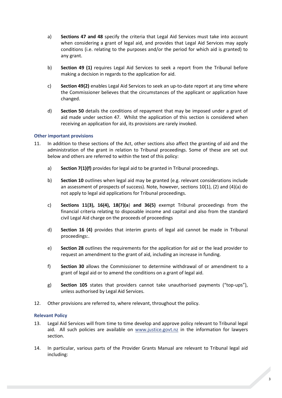- a) **Sections 47 and 48** specify the criteria that Legal Aid Services must take into account when considering a grant of legal aid, and provides that Legal Aid Services may apply conditions (i.e. relating to the purposes and/or the period for which aid is granted) to any grant.
- b) **Section 49 (1)** requires Legal Aid Services to seek a report from the Tribunal before making a decision in regards to the application for aid.
- c) **Section 49(2)** enables Legal Aid Services to seek an up-to-date report at any time where the Commissioner believes that the circumstances of the applicant or application have changed.
- d) **Section 50** details the conditions of repayment that may be imposed under a grant of aid made under section 47. Whilst the application of this section is considered when receiving an application for aid, its provisions are rarely invoked.

### <span id="page-6-0"></span>**Other important provisions**

- 11. In addition to these sections of the Act, other sections also affect the granting of aid and the administration of the grant in relation to Tribunal proceedings. Some of these are set out below and others are referred to within the text of this policy:
	- a) **Section 7(1)(f)** provides for legal aid to be granted in Tribunal proceedings.
	- b) **Section 10** outlines when legal aid may be granted (e.g. relevant considerations include an assessment of prospects of success). Note, however, sections  $10(1)$ ,  $(2)$  and  $(4)(a)$  do not apply to legal aid applications for Tribunal proceedings.
	- c) **Sections 11(3), 16(4), 18(7)(a**) **and 36(5)** exempt Tribunal proceedings from the financial criteria relating to disposable income and capital and also from the standard civil Legal Aid charge on the proceeds of proceedings
	- d) **Section 16 (4)** provides that interim grants of legal aid cannot be made in Tribunal proceedings:.
	- e) **Section 28** outlines the requirements for the application for aid or the lead provider to request an amendment to the grant of aid, including an increase in funding.
	- f) **Section 30** allows the Commissioner to determine withdrawal of or amendment to a grant of legal aid or to amend the conditions on a grant of legal aid.
	- g) **Section 105** states that providers cannot take unauthorised payments ("top-ups"), unless authorised by Legal Aid Services.
- 12. Other provisions are referred to, where relevant, throughout the policy.

### <span id="page-6-1"></span>**Relevant Policy**

- 13. Legal Aid Services will from time to time develop and approve policy relevant to Tribunal legal aid. All such policies are available on [www.justice.govt.nz](http://www.justice.govt.nz/) in the information for lawyers section.
- 14. In particular, various parts of the Provider Grants Manual are relevant to Tribunal legal aid including: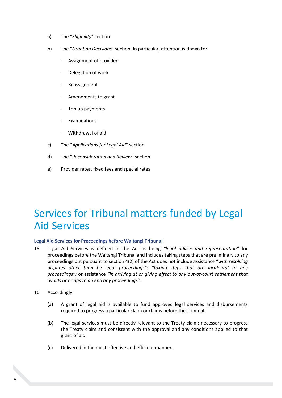- a) The "*Eligibility*" section
- b) The "*Granting Decisions*" section. In particular, attention is drawn to:
	- Assignment of provider
	- Delegation of work
	- **Reassignment**
	- Amendments to grant
	- Top up payments
	- **Examinations**
	- Withdrawal of aid
- c) The "*Applications for Legal Aid*" section
- d) The "*Reconsideration and Review*" section
- e) Provider rates, fixed fees and special rates

### <span id="page-7-0"></span>Services for Tribunal matters funded by Legal Aid Services

### <span id="page-7-1"></span>**Legal Aid Services for Proceedings before Waitangi Tribunal**

- 15. Legal Aid Services is defined in the Act as being *"legal advice and representation"* for proceedings before the Waitangi Tribunal and includes taking steps that are preliminary to any proceedings but pursuant to section 4(2) of the Act does not include assistance "*with resolving disputes other than by legal proceedings"; "taking steps that are incidental to any proceedings";* or assistance *"in arriving at or giving effect to any out-of-court settlement that avoids or brings to an end any proceedings"*.
- 16. Accordingly:
	- (a) A grant of legal aid is available to fund approved legal services and disbursements required to progress a particular claim or claims before the Tribunal.
	- (b) The legal services must be directly relevant to the Treaty claim; necessary to progress the Treaty claim and consistent with the approval and any conditions applied to that grant of aid.
	- (c) Delivered in the most effective and efficient manner.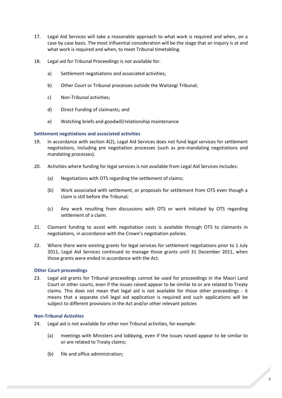- 17. Legal Aid Services will take a reasonable approach to what work is required and when, on a case by case basis. The most influential consideration will be the stage that an Inquiry is at and what work is required and when, to meet Tribunal timetabling.
- 18. Legal aid for Tribunal Proceedings is not available for:
	- a) Settlement negotiations and associated activities;
	- b) Other Court or Tribunal processes outside the Waitangi Tribunal;
	- c) Non-Tribunal activities;
	- d) Direct Funding of claimants; and
	- e) Watching briefs and goodwill/relationship maintenance

### <span id="page-8-0"></span>**Settlement negotiations and associated activities**

- 19. In accordance with section 4(2), Legal Aid Services does not fund legal services for settlement negotiations, including pre negotiation processes (such as pre-mandating negotiations and mandating processes).
- 20. Activities where funding for legal services is not available from Legal Aid Services includes:
	- (a) Negotiations with OTS regarding the settlement of claims;
	- (b) Work associated with settlement, or proposals for settlement from OTS even though a claim is still before the Tribunal;
	- (c) Any work resulting from discussions with OTS or work initiated by OTS regarding settlement of a claim.
- 21. Claimant funding to assist with negotiation costs is available through OTS to claimants in negotiations, in accordance with the Crown's negotiation policies.
- 22. Where there were existing grants for legal services for settlement negotiations prior to 1 July 2011, Legal Aid Services continued to manage those grants until 31 December 2011, when those grants were ended in accordance with the Act.

### <span id="page-8-1"></span>**Other Court proceedings**

23. Legal aid grants for Tribunal proceedings cannot be used for proceedings in the Maori Land Court or other courts, even if the issues raised appear to be similar to or are related to Treaty claims. This does not mean that legal aid is not available for those other proceedings - it means that a separate civil legal aid application is required and such applications will be subject to different provisions in the Act and/or other relevant policies

### <span id="page-8-2"></span>**Non-Tribunal Activities**

- 24. Legal aid is not available for other non Tribunal activities, for example:
	- (a) meetings with Ministers and lobbying, even if the issues raised appear to be similar to or are related to Treaty claims;
	- (b) file and office administration;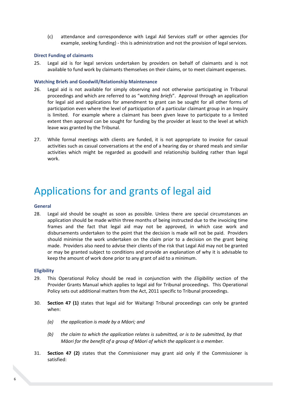(c) attendance and correspondence with Legal Aid Services staff or other agencies (for example, seeking funding) - this is administration and not the provision of legal services.

### <span id="page-9-0"></span>**Direct Funding of claimants**

25. Legal aid is for legal services undertaken by providers on behalf of claimants and is not available to fund work by claimants themselves on their claims, or to meet claimant expenses.

### <span id="page-9-1"></span>**Watching Briefs and Goodwill/Relationship Maintenance**

- 26. Legal aid is not available for simply observing and not otherwise participating in Tribunal proceedings and which are referred to as "*watching briefs*". Approval through an application for legal aid and applications for amendment to grant can be sought for all other forms of participation even where the level of participation of a particular claimant group in an Inquiry is limited. For example where a claimant has been given leave to participate to a limited extent then approval can be sought for funding by the provider at least to the level at which leave was granted by the Tribunal.
- 27. While formal meetings with clients are funded, it is not appropriate to invoice for casual activities such as casual conversations at the end of a hearing day or shared meals and similar activities which might be regarded as goodwill and relationship building rather than legal work.

### <span id="page-9-2"></span>Applications for and grants of legal aid

### <span id="page-9-3"></span>**General**

28. Legal aid should be sought as soon as possible. Unless there are special circumstances an application should be made within three months of being instructed due to the invoicing time frames and the fact that legal aid may not be approved, in which case work and disbursements undertaken to the point that the decision is made will not be paid. Providers should minimise the work undertaken on the claim prior to a decision on the grant being made. Providers also need to advise their clients of the risk that Legal Aid may not be granted or may be granted subject to conditions and provide an explanation of why it is advisable to keep the amount of work done prior to any grant of aid to a minimum.

#### <span id="page-9-4"></span>**Eligibility**

- 29. This Operational Policy should be read in conjunction with the *Eligibility* section of the Provider Grants Manual which applies to legal aid for Tribunal proceedings. This Operational Policy sets out additional matters from the Act, 2011 specific to Tribunal proceedings.
- 30. **Section 47 (1)** states that legal aid for Waitangi Tribunal proceedings can only be granted when:
	- *(a) the application is made by a Māori; and*
	- *(b) the claim to which the application relates is submitted, or is to be submitted, by that Māori for the benefit of a group of Māori of which the applicant is a member.*
- 31. **Section 47 (2)** states that the Commissioner may grant aid only if the Commissioner is satisfied: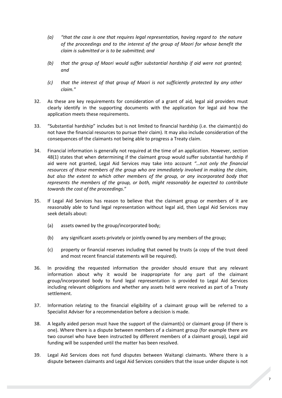- *(a) "that the case is one that requires legal representation, having regard to the nature of the proceedings and to the interest of the group of Maori for whose benefit the claim is submitted or is to be submitted; and*
- *(b) that the group of Maori would suffer substantial hardship if aid were not granted; and*
- *(c) that the interest of that group of Maori is not sufficiently protected by any other claim."*
- 32. As these are key requirements for consideration of a grant of aid, legal aid providers must clearly identify in the supporting documents with the application for legal aid how the application meets these requirements.
- 33. "Substantial hardship" includes but is not limited to financial hardship (i.e. the claimant(s) do not have the financial resources to pursue their claim). It may also include consideration of the consequences of the claimants not being able to progress a Treaty claim.
- 34. Financial information is generally not required at the time of an application. However, section 48(1) states that when determining if the claimant group would suffer substantial hardship if aid were not granted, Legal Aid Services may take into account *"…not only the financial resources of those members of the group who are immediately involved in making the claim, but also the extent to which other members of the group, or any incorporated body that represents the members of the group, or both, might reasonably be expected to contribute towards the cost of the proceedings*."
- 35. If Legal Aid Services has reason to believe that the claimant group or members of it are reasonably able to fund legal representation without legal aid, then Legal Aid Services may seek details about:
	- (a) assets owned by the group/incorporated body;
	- (b) any significant assets privately or jointly owned by any members of the group;
	- (c) property or financial reserves including that owned by trusts (a copy of the trust deed and most recent financial statements will be required).
- 36. In providing the requested information the provider should ensure that any relevant information about why it would be inappropriate for any part of the claimant group/incorporated body to fund legal representation is provided to Legal Aid Services including relevant obligations and whether any assets held were received as part of a Treaty settlement.
- 37. Information relating to the financial eligibility of a claimant group will be referred to a Specialist Adviser for a recommendation before a decision is made.
- 38. A legally aided person must have the support of the claimant(s) or claimant group (if there is one). Where there is a dispute between members of a claimant group (for example there are two counsel who have been instructed by different members of a claimant group), Legal aid funding will be suspended until the matter has been resolved.
- 39. Legal Aid Services does not fund disputes between Waitangi claimants. Where there is a dispute between claimants and Legal Aid Services considers that the issue under dispute is not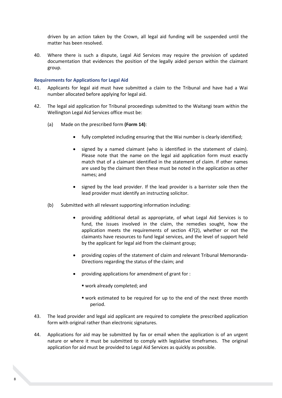driven by an action taken by the Crown, all legal aid funding will be suspended until the matter has been resolved.

40. Where there is such a dispute, Legal Aid Services may require the provision of updated documentation that evidences the position of the legally aided person within the claimant group.

### <span id="page-11-0"></span>**Requirements for Applications for Legal Aid**

- 41. Applicants for legal aid must have submitted a claim to the Tribunal and have had a Wai number allocated before applying for legal aid.
- 42. The legal aid application for Tribunal proceedings submitted to the Waitangi team within the Wellington Legal Aid Services office must be:
	- (a) Made on the prescribed form **(Form 14)**:
		- fully completed including ensuring that the Wai number is clearly identified;
		- signed by a named claimant (who is identified in the statement of claim). Please note that the name on the legal aid application form must exactly match that of a claimant identified in the statement of claim. If other names are used by the claimant then these must be noted in the application as other names; and
		- signed by the lead provider. If the lead provider is a barrister sole then the lead provider must identify an instructing solicitor.
	- (b) Submitted with all relevant supporting information including:
		- providing additional detail as appropriate, of what Legal Aid Services is to fund, the issues involved in the claim, the remedies sought, how the application meets the requirements of section 47(2), whether or not the claimants have resources to fund legal services, and the level of support held by the applicant for legal aid from the claimant group;
		- providing copies of the statement of claim and relevant Tribunal Memoranda-Directions regarding the status of the claim; and
		- providing applications for amendment of grant for :
			- work already completed; and
			- work estimated to be required for up to the end of the next three month period.
- 43. The lead provider and legal aid applicant are required to complete the prescribed application form with original rather than electronic signatures.
- 44. Applications for aid may be submitted by fax or email when the application is of an urgent nature or where it must be submitted to comply with legislative timeframes. The original application for aid must be provided to Legal Aid Services as quickly as possible.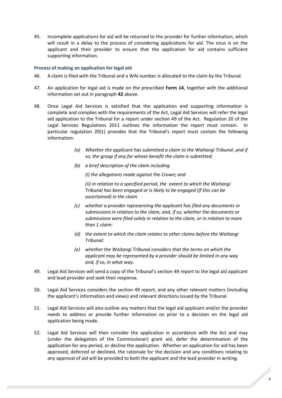45. Incomplete applications for aid will be returned to the provider for further information, which will result in a delay to the process of considering applications for aid. The onus is on the applicant and their provider to ensure that the application for aid contains sufficient supporting information.

### <span id="page-12-0"></span>**Process of making an application for legal aid**

- 46. A claim is filed with the Tribunal and a WAI number is allocated to the claim by the Tribunal.
- 47. An application for legal aid is made on the prescribed **Form 14**, together with the additional information set out in paragraph **42** above.
- 48. Once Legal Aid Services is satisfied that the application and supporting information is complete and complies with the requirements of the Act, Legal Aid Services will refer the legal aid application to the Tribunal for a report under section 49 of the Act. Regulation 20 of the Legal Services Regulations 2011 outlines the information the report must contain. In particular regulation 20(1) provides that the Tribunal's report must contain the following information:
	- *(a) Whether the applicant has submitted a claim to the Waitangi Tribunal ,and if so, the group if any for whose benefit the claim is submitted:*
	- *(b) a brief description of the claim including*

*(i) the allegations made against the Crown; and*

*(ii) in relation to a specified period, the extent to which the Waitangi Tribunal has been engaged or is likely to be engaged (if this can be ascertained) in the claim*

- *(c) whether a provider representing the applicant has filed any documents or submissions in relation to the claim, and, if so, whether the documents or submissions were filed solely in relation to the claim, or in relation to more than 1 claim:*
- *(d) the extent to which the claim relates to other claims before the Waitangi Tribunal:*
- *(e) whether the Waitangi Tribunal considers that the terms on which the applicant may be represented by a provider should be limited in any way and, if so, in what way*.
- 49. Legal Aid Services will send a copy of the Tribunal's section 49 report to the legal aid applicant and lead provider and seek their response.
- 50. Legal Aid Services considers the section 49 report, and any other relevant matters (including the applicant's information and views) and relevant directions issued by the Tribunal.
- 51. Legal Aid Services will also outline any matters that the legal aid applicant and/or the provider needs to address or provide further information on prior to a decision on the legal aid application being made.
- 52. Legal Aid Services will then consider the application in accordance with the Act and may (under the delegation of the Commissioner) grant aid, defer the determination of the application for any period, or decline the application. Whether an application for aid has been approved, deferred or declined, the rationale for the decision and any conditions relating to any approval of aid will be provided to both the applicant and the lead provider in writing.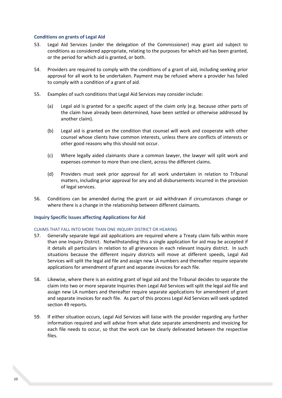### <span id="page-13-0"></span>**Conditions on grants of Legal Aid**

- 53. Legal Aid Services (under the delegation of the Commissioner) may grant aid subject to conditions as considered appropriate, relating to the purposes for which aid has been granted, or the period for which aid is granted, or both.
- 54. Providers are required to comply with the conditions of a grant of aid, including seeking prior approval for all work to be undertaken. Payment may be refused where a provider has failed to comply with a condition of a grant of aid.
- 55. Examples of such conditions that Legal Aid Services may consider include:
	- (a) Legal aid is granted for a specific aspect of the claim only (e.g. because other parts of the claim have already been determined, have been settled or otherwise addressed by another claim).
	- (b) Legal aid is granted on the condition that counsel will work and cooperate with other counsel whose clients have common interests, unless there are conflicts of interests or other good reasons why this should not occur.
	- (c) Where legally aided claimants share a common lawyer, the lawyer will split work and expenses common to more than one client, across the different claims.
	- (d) Providers must seek prior approval for all work undertaken in relation to Tribunal matters, including prior approval for any and all disbursements incurred in the provision of legal services.
- 56. Conditions can be amended during the grant or aid withdrawn if circumstances change or where there is a change in the relationship between different claimants.

### <span id="page-13-1"></span>**Inquiry Specific Issues affecting Applications for Aid**

### CLAIMS THAT FALL INTO MORE THAN ONE INQUIRY DISTRICT OR HEARING

- 57. Generally separate legal aid applications are required where a Treaty claim falls within more than one Inquiry District. Notwithstanding this a single application for aid may be accepted if it details all particulars in relation to all grievances in each relevant Inquiry district. In such situations because the different inquiry districts will move at different speeds, Legal Aid Services will split the legal aid file and assign new LA numbers and thereafter require separate applications for amendment of grant and separate invoices for each file.
- 58. Likewise, where there is an existing grant of legal aid and the Tribunal decides to separate the claim into two or more separate Inquiries then Legal Aid Services will split the legal aid file and assign new LA numbers and thereafter require separate applications for amendment of grant and separate invoices for each file. As part of this process Legal Aid Services will seek updated section 49 reports.
- 59. If either situation occurs, Legal Aid Services will liaise with the provider regarding any further information required and will advise from what date separate amendments and invoicing for each file needs to occur, so that the work can be clearly delineated between the respective files.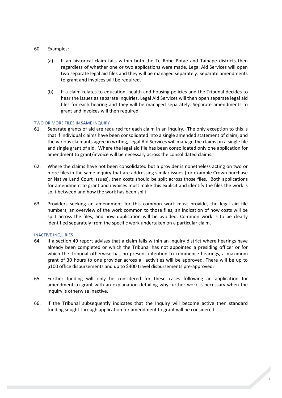### 60. Examples:

- (a) If an historical claim falls within both the Te Rohe Potae and Taihape districts then regardless of whether one or two applications were made, Legal Aid Services will open two separate legal aid files and they will be managed separately. Separate amendments to grant and invoices will be required.
- (b) If a claim relates to education, health and housing policies and the Tribunal decides to hear the issues as separate Inquiries, Legal Aid Services will then open separate legal aid files for each hearing and they will be managed separately. Separate amendments to grant and invoices will then required.

### TWO OR MORE FILES IN SAME INQUIRY

- 61. Separate grants of aid are required for each claim in an Inquiry. The only exception to this is that if individual claims have been consolidated into a single amended statement of claim, and the various claimants agree in writing, Legal Aid Services will manage the claims on a single file and single grant of aid. Where the legal aid file has been consolidated only one application for amendment to grant/invoice will be necessary across the consolidated claims.
- 62. Where the claims have not been consolidated but a provider is nonetheless acting on two or more files in the same inquiry that are addressing similar issues (for example Crown purchase or Native Land Court issues), then costs should be split across those files. Both applications for amendment to grant and invoices must make this explicit and identify the files the work is split between and how the work has been split.
- 63. Providers seeking an amendment for this common work must provide, the legal aid file numbers, an overview of the work common to those files, an indication of how costs will be split across the files, and how duplication will be avoided. Common work is to be clearly identified separately from the specific work undertaken on a particular claim.

### INACTIVE INQUIRIES

- 64. If a section 49 report advises that a claim falls within an Inquiry district where hearings have already been completed or which the Tribunal has not appointed a presiding officer or for which the Tribunal otherwise has no present intention to commence hearings, a maximum grant of 30 hours to one provider across all activities will be approved. There will be up to \$100 office disbursements and up to \$400 travel disbursements pre-approved.
- 65. Further funding will only be considered for these cases following an application for amendment to grant with an explanation detailing why further work is necessary when the Inquiry is otherwise inactive.
- 66. If the Tribunal subsequently indicates that the Inquiry will become active then standard funding sought through application for amendment to grant will be considered.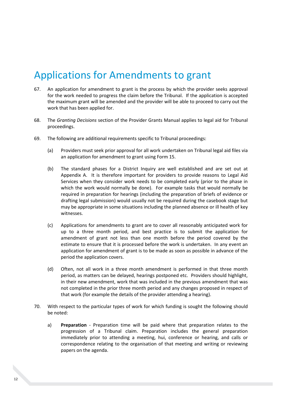# <span id="page-15-0"></span>Applications for Amendments to grant

- 67. An application for amendment to grant is the process by which the provider seeks approval for the work needed to progress the claim before the Tribunal. If the application is accepted the maximum grant will be amended and the provider will be able to proceed to carry out the work that has been applied for.
- 68. The *Granting Decisions* section of the Provider Grants Manual applies to legal aid for Tribunal proceedings.
- 69. The following are additional requirements specific to Tribunal proceedings:
	- (a) Providers must seek prior approval for all work undertaken on Tribunal legal aid files via an application for amendment to grant using Form 15.
	- (b) The standard phases for a District Inquiry are well established and are set out at Appendix A. It is therefore important for providers to provide reasons to Legal Aid Services when they consider work needs to be completed early (prior to the phase in which the work would normally be done). For example tasks that would normally be required in preparation for hearings (including the preparation of briefs of evidence or drafting legal submission) would usually not be required during the casebook stage but may be appropriate in some situations including the planned absence or ill health of key witnesses.
	- (c) Applications for amendments to grant are to cover all reasonably anticipated work for up to a three month period, and best practice is to submit the application for amendment of grant not less than one month before the period covered by the estimate to ensure that it is processed before the work is undertaken. In any event an application for amendment of grant is to be made as soon as possible in advance of the period the application covers.
	- (d) Often, not all work in a three month amendment is performed in that three month period, as matters can be delayed, hearings postponed etc. Providers should highlight, in their new amendment, work that was included in the previous amendment that was not completed in the prior three month period and any changes proposed in respect of that work (for example the details of the provider attending a hearing).
- 70. With respect to the particular types of work for which funding is sought the following should be noted:
	- a) **Preparation** Preparation time will be paid where that preparation relates to the progression of a Tribunal claim. Preparation includes the general preparation immediately prior to attending a meeting, hui, conference or hearing, and calls or correspondence relating to the organisation of that meeting and writing or reviewing papers on the agenda.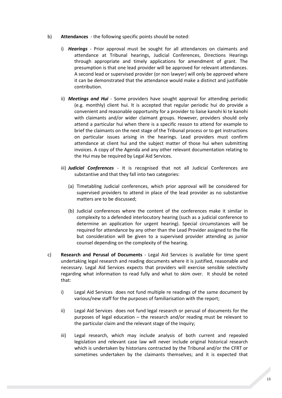- b) **Attendances**  the following specific points should be noted:
	- i) *Hearings* Prior approval must be sought for all attendances on claimants and attendance at Tribunal hearings, Judicial Conferences, Directions Hearings through appropriate and timely applications for amendment of grant. The presumption is that one lead provider will be approved for relevant attendances. A second lead or supervised provider (or non lawyer) will only be approved where it can be demonstrated that the attendance would make a distinct and justifiable contribution.
	- ii) *Meetings and Hui* Some providers have sought approval for attending periodic (e.g. monthly) client hui. It is accepted that regular periodic hui do provide a convenient and reasonable opportunity for a provider to liaise kanohi ki te kanohi with claimants and/or wider claimant groups. However, providers should only attend a particular hui when there is a specific reason to attend for example to brief the claimants on the next stage of the Tribunal process or to get instructions on particular issues arising in the hearings. Lead providers must confirm attendance at client hui and the subject matter of those hui when submitting invoices. A copy of the Agenda and any other relevant documentation relating to the Hui may be required by Legal Aid Services.
	- iii) *Judicial Conferences*  It is recognised that not all Judicial Conferences are substantive and that they fall into two categories:
		- (a) Timetabling Judicial conferences, which prior approval will be considered for supervised providers to attend in place of the lead provider as no substantive matters are to be discussed;
		- (b) Judicial conferences where the content of the conferences make it similar in complexity to a defended interlocutory hearing (such as a judicial conference to determine an application for urgent hearing). Special circumstances will be required for attendance by any other than the Lead Provider assigned to the file but consideration will be given to a supervised provider attending as junior counsel depending on the complexity of the hearing.
- c) **Research and Perusal of Documents** Legal Aid Services is available for time spent undertaking legal research and reading documents where it is justified, reasonable and necessary. Legal Aid Services expects that providers will exercise sensible selectivity regarding what information to read fully and what to skim over. It should be noted that:
	- i) Legal Aid Services does not fund multiple re readings of the same document by various/new staff for the purposes of familiarisation with the report;
	- ii) Legal Aid Services does not fund legal research or perusal of documents for the purposes of legal education – the research and/or reading must be relevant to the particular claim and the relevant stage of the Inquiry;
	- iii) Legal research, which may include analysis of both current and repealed legislation and relevant case law will never include original historical research which is undertaken by historians contracted by the Tribunal and/or the CFRT or sometimes undertaken by the claimants themselves; and it is expected that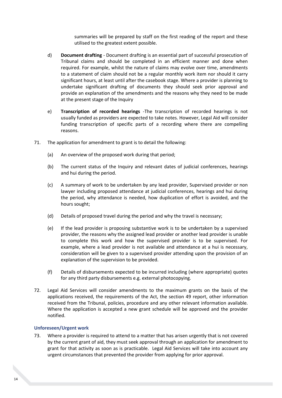summaries will be prepared by staff on the first reading of the report and these utilised to the greatest extent possible.

- d) **Document drafting** Document drafting is an essential part of successful prosecution of Tribunal claims and should be completed in an efficient manner and done when required. For example, whilst the nature of claims may evolve over time, amendments to a statement of claim should not be a regular monthly work item nor should it carry significant hours, at least until after the casebook stage. Where a provider is planning to undertake significant drafting of documents they should seek prior approval and provide an explanation of the amendments and the reasons why they need to be made at the present stage of the Inquiry
- e) **Transcription of recorded hearings** -The transcription of recorded hearings is not usually funded as providers are expected to take notes. However, Legal Aid will consider funding transcription of specific parts of a recording where there are compelling reasons.
- 71. The application for amendment to grant is to detail the following:
	- (a) An overview of the proposed work during that period;
	- (b) The current status of the Inquiry and relevant dates of judicial conferences, hearings and hui during the period.
	- (c) A summary of work to be undertaken by any lead provider, Supervised provider or non lawyer including proposed attendance at judicial conferences, hearings and hui during the period, why attendance is needed, how duplication of effort is avoided, and the hours sought;
	- (d) Details of proposed travel during the period and why the travel is necessary;
	- (e) If the lead provider is proposing substantive work is to be undertaken by a supervised provider, the reasons why the assigned lead provider or another lead provider is unable to complete this work and how the supervised provider is to be supervised. For example, where a lead provider is not available and attendance at a hui is necessary, consideration will be given to a supervised provider attending upon the provision of an explanation of the supervision to be provided.
	- (f) Details of disbursements expected to be incurred including (where appropriate) quotes for any third party disbursements e.g. external photocopying.
- 72. Legal Aid Services will consider amendments to the maximum grants on the basis of the applications received, the requirements of the Act, the section 49 report, other information received from the Tribunal, policies, procedure and any other relevant information available. Where the application is accepted a new grant schedule will be approved and the provider notified.

### <span id="page-17-0"></span>**Unforeseen/Urgent work**

73. Where a provider is required to attend to a matter that has arisen urgently that is not covered by the current grant of aid, they must seek approval through an application for amendment to grant for that activity as soon as is practicable. Legal Aid Services will take into account any urgent circumstances that prevented the provider from applying for prior approval.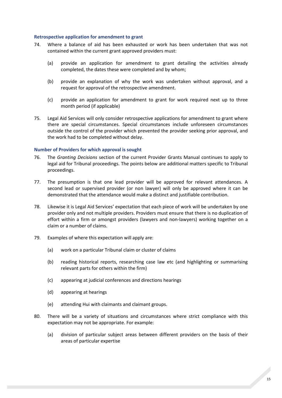### <span id="page-18-0"></span>**Retrospective application for amendment to grant**

- 74. Where a balance of aid has been exhausted or work has been undertaken that was not contained within the current grant approved providers must:
	- (a) provide an application for amendment to grant detailing the activities already completed, the dates these were completed and by whom;
	- (b) provide an explanation of why the work was undertaken without approval, and a request for approval of the retrospective amendment.
	- (c) provide an application for amendment to grant for work required next up to three month period (if applicable)
- 75. Legal Aid Services will only consider retrospective applications for amendment to grant where there are special circumstances. Special circumstances include unforeseen circumstances outside the control of the provider which prevented the provider seeking prior approval, and the work had to be completed without delay.

### <span id="page-18-1"></span>**Number of Providers for which approval is sought**

- 76. The *Granting Decisions* section of the current Provider Grants Manual continues to apply to legal aid for Tribunal proceedings. The points below are additional matters specific to Tribunal proceedings.
- 77. The presumption is that one lead provider will be approved for relevant attendances. A second lead or supervised provider (or non lawyer) will only be approved where it can be demonstrated that the attendance would make a distinct and justifiable contribution.
- 78. Likewise it is Legal Aid Services' expectation that each piece of work will be undertaken by one provider only and not multiple providers. Providers must ensure that there is no duplication of effort within a firm or amongst providers (lawyers and non-lawyers) working together on a claim or a number of claims.
- 79. Examples of where this expectation will apply are:
	- (a) work on a particular Tribunal claim or cluster of claims
	- (b) reading historical reports, researching case law etc (and highlighting or summarising relevant parts for others within the firm)
	- (c) appearing at judicial conferences and directions hearings
	- (d) appearing at hearings
	- (e) attending Hui with claimants and claimant groups.
- 80. There will be a variety of situations and circumstances where strict compliance with this expectation may not be appropriate. For example:
	- (a) division of particular subject areas between different providers on the basis of their areas of particular expertise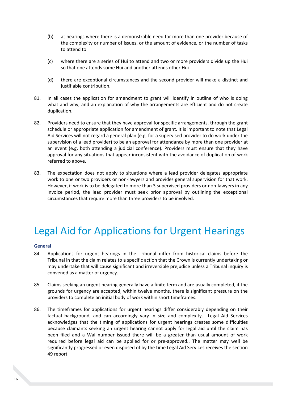- (b) at hearings where there is a demonstrable need for more than one provider because of the complexity or number of issues, or the amount of evidence, or the number of tasks to attend to
- (c) where there are a series of Hui to attend and two or more providers divide up the Hui so that one attends some Hui and another attends other Hui
- (d) there are exceptional circumstances and the second provider will make a distinct and justifiable contribution.
- 81. In all cases the application for amendment to grant will identify in outline of who is doing what and why, and an explanation of why the arrangements are efficient and do not create duplication.
- 82. Providers need to ensure that they have approval for specific arrangements, through the grant schedule or appropriate application for amendment of grant. It is important to note that Legal Aid Services will not regard a general plan (e.g. for a supervised provider to do work under the supervision of a lead provider) to be an approval for attendance by more than one provider at an event (e.g. both attending a judicial conference). Providers must ensure that they have approval for any situations that appear inconsistent with the avoidance of duplication of work referred to above.
- 83. The expectation does not apply to situations where a lead provider delegates appropriate work to one or two providers or non-lawyers and provides general supervision for that work. However, if work is to be delegated to more than 3 supervised providers or non-lawyers in any invoice period, the lead provider must seek prior approval by outlining the exceptional circumstances that require more than three providers to be involved.

# <span id="page-19-0"></span>Legal Aid for Applications for Urgent Hearings

### <span id="page-19-1"></span>**General**

- 84. Applications for urgent hearings in the Tribunal differ from historical claims before the Tribunal in that the claim relates to a specific action that the Crown is currently undertaking or may undertake that will cause significant and irreversible prejudice unless a Tribunal inquiry is convened as a matter of urgency.
- 85. Claims seeking an urgent hearing generally have a finite term and are usually completed, if the grounds for urgency are accepted, within twelve months, there is significant pressure on the providers to complete an initial body of work within short timeframes.
- 86. The timeframes for applications for urgent hearings differ considerably depending on their factual background, and can accordingly vary in size and complexity. Legal Aid Services acknowledges that the timing of applications for urgent hearings creates some difficulties because claimants seeking an urgent hearing cannot apply for legal aid until the claim has been filed and a Wai number issued there will be a greater than usual amount of work required before legal aid can be applied for or pre-approved.. The matter may well be significantly progressed or even disposed of by the time Legal Aid Services receives the section 49 report.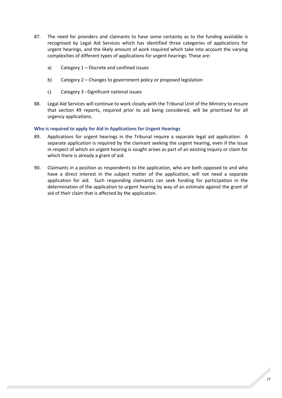- 87. The need for providers and claimants to have some certainty as to the funding available is recognised by Legal Aid Services which has identified three categories of applications for urgent hearings, and the likely amount of work required which take into account the varying complexities of different types of applications for urgent hearings. These are:
	- a) Category 1 Discrete and confined issues
	- b) Category 2 Changes to government policy or proposed legislation
	- c) Category 3 –Significant national issues
- 88. Legal Aid Services will continue to work closely with the Tribunal Unit of the Ministry to ensure that section 49 reports, required prior to aid being considered, will be prioritised for all urgency applications.

### <span id="page-20-0"></span>**Who is required to apply for Aid in Applications for Urgent Hearings**

- 89. Applications for urgent hearings in the Tribunal require a separate legal aid application. A separate application is required by the claimant seeking the urgent hearing, even if the issue in respect of which an urgent hearing is sought arises as part of an existing Inquiry or claim for which there is already a grant of aid.
- 90. Claimants in a position as respondents to the application, who are both opposed to and who have a direct interest in the subject matter of the application, will not need a separate application for aid. Such responding claimants can seek funding for participation in the determination of the application to urgent hearing by way of an estimate against the grant of aid of their claim that is affected by the application.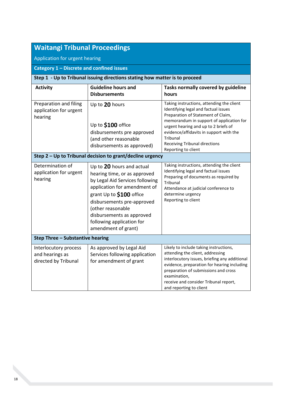| <b>Waitangi Tribunal Proceedings</b>                                        |                                                                                                                                                                                                                                                                                              |                                                                                                                                                                                                                                                                                                                                   |  |  |  |  |
|-----------------------------------------------------------------------------|----------------------------------------------------------------------------------------------------------------------------------------------------------------------------------------------------------------------------------------------------------------------------------------------|-----------------------------------------------------------------------------------------------------------------------------------------------------------------------------------------------------------------------------------------------------------------------------------------------------------------------------------|--|--|--|--|
|                                                                             |                                                                                                                                                                                                                                                                                              |                                                                                                                                                                                                                                                                                                                                   |  |  |  |  |
| Application for urgent hearing                                              |                                                                                                                                                                                                                                                                                              |                                                                                                                                                                                                                                                                                                                                   |  |  |  |  |
| Category 1 - Discrete and confined issues                                   |                                                                                                                                                                                                                                                                                              |                                                                                                                                                                                                                                                                                                                                   |  |  |  |  |
| Step 1 - Up to Tribunal issuing directions stating how matter is to proceed |                                                                                                                                                                                                                                                                                              |                                                                                                                                                                                                                                                                                                                                   |  |  |  |  |
| <b>Activity</b>                                                             | <b>Guideline hours and</b><br><b>Disbursements</b>                                                                                                                                                                                                                                           | Tasks normally covered by guideline<br>hours                                                                                                                                                                                                                                                                                      |  |  |  |  |
| Preparation and filing<br>application for urgent<br>hearing                 | Up to 20 hours<br>Up to \$100 office<br>disbursements pre approved<br>(and other reasonable<br>disbursements as approved)                                                                                                                                                                    | Taking instructions, attending the client<br>Identifying legal and factual issues<br>Preparation of Statement of Claim,<br>memorandum in support of application for<br>urgent hearing and up to 2 briefs of<br>evidence/affidavits in support with the<br>Tribunal<br><b>Receiving Tribunal directions</b><br>Reporting to client |  |  |  |  |
| Step 2 - Up to Tribunal decision to grant/decline urgency                   |                                                                                                                                                                                                                                                                                              |                                                                                                                                                                                                                                                                                                                                   |  |  |  |  |
| Determination of<br>application for urgent<br>hearing                       | Up to 20 hours and actual<br>hearing time, or as approved<br>by Legal Aid Services following<br>application for amendment of<br>grant Up to \$100 office<br>disbursements pre-approved<br>(other reasonable<br>disbursements as approved<br>following application for<br>amendment of grant) | Taking instructions, attending the client<br>Identifying legal and factual issues<br>Preparing of documents as required by<br>Tribunal<br>Attendance at judicial conference to<br>determine urgency<br>Reporting to client                                                                                                        |  |  |  |  |
| Step Three - Substantive hearing                                            |                                                                                                                                                                                                                                                                                              |                                                                                                                                                                                                                                                                                                                                   |  |  |  |  |
| Interlocutory process<br>and hearings as<br>directed by Tribunal            | As approved by Legal Aid<br>Services following application<br>for amendment of grant                                                                                                                                                                                                         | Likely to include taking instructions,<br>attending the client, addressing<br>interlocutory issues, briefing any additional<br>evidence, preparation for hearing including<br>preparation of submissions and cross<br>examination,<br>receive and consider Tribunal report,<br>and reporting to client                            |  |  |  |  |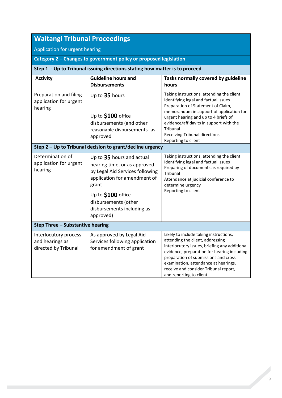| <b>Waitangi Tribunal Proceedings</b>                                        |                                                                                                                                                                                                                                |                                                                                                                                                                                                                                                                                                                                   |  |  |  |  |
|-----------------------------------------------------------------------------|--------------------------------------------------------------------------------------------------------------------------------------------------------------------------------------------------------------------------------|-----------------------------------------------------------------------------------------------------------------------------------------------------------------------------------------------------------------------------------------------------------------------------------------------------------------------------------|--|--|--|--|
| Application for urgent hearing                                              |                                                                                                                                                                                                                                |                                                                                                                                                                                                                                                                                                                                   |  |  |  |  |
| Category 2 - Changes to government policy or proposed legislation           |                                                                                                                                                                                                                                |                                                                                                                                                                                                                                                                                                                                   |  |  |  |  |
| Step 1 - Up to Tribunal issuing directions stating how matter is to proceed |                                                                                                                                                                                                                                |                                                                                                                                                                                                                                                                                                                                   |  |  |  |  |
| <b>Activity</b>                                                             | <b>Guideline hours and</b><br><b>Disbursements</b>                                                                                                                                                                             | Tasks normally covered by guideline<br>hours                                                                                                                                                                                                                                                                                      |  |  |  |  |
| Preparation and filing<br>application for urgent<br>hearing                 | Up to 35 hours<br>Up to \$100 office<br>disbursements (and other<br>reasonable disbursements as<br>approved                                                                                                                    | Taking instructions, attending the client<br>Identifying legal and factual issues<br>Preparation of Statement of Claim,<br>memorandum in support of application for<br>urgent hearing and up to 4 briefs of<br>evidence/affidavits in support with the<br>Tribunal<br><b>Receiving Tribunal directions</b><br>Reporting to client |  |  |  |  |
| Step 2 - Up to Tribunal decision to grant/decline urgency                   |                                                                                                                                                                                                                                |                                                                                                                                                                                                                                                                                                                                   |  |  |  |  |
| Determination of<br>application for urgent<br>hearing                       | Up to 35 hours and actual<br>hearing time, or as approved<br>by Legal Aid Services following<br>application for amendment of<br>grant<br>Up to \$100 office<br>disbursements (other<br>disbursements including as<br>approved) | Taking instructions, attending the client<br>Identifying legal and factual issues<br>Preparing of documents as required by<br>Tribunal<br>Attendance at judicial conference to<br>determine urgency<br>Reporting to client                                                                                                        |  |  |  |  |
| Step Three - Substantive hearing                                            |                                                                                                                                                                                                                                |                                                                                                                                                                                                                                                                                                                                   |  |  |  |  |
| Interlocutory process<br>and hearings as<br>directed by Tribunal            | As approved by Legal Aid<br>Services following application<br>for amendment of grant                                                                                                                                           | Likely to include taking instructions,<br>attending the client, addressing<br>interlocutory issues, briefing any additional<br>evidence, preparation for hearing including<br>preparation of submissions and cross<br>examination, attendance at hearings,<br>receive and consider Tribunal report,<br>and reporting to client    |  |  |  |  |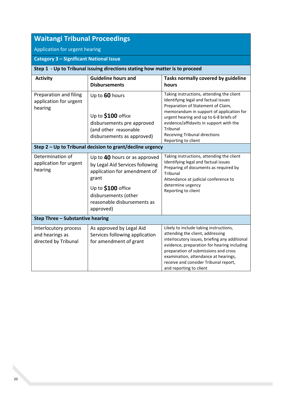| <b>Waitangi Tribunal Proceedings</b>                                        |                                                                                                                                                                                                     |                                                                                                                                                                                                                                                                                                                                     |  |  |  |  |
|-----------------------------------------------------------------------------|-----------------------------------------------------------------------------------------------------------------------------------------------------------------------------------------------------|-------------------------------------------------------------------------------------------------------------------------------------------------------------------------------------------------------------------------------------------------------------------------------------------------------------------------------------|--|--|--|--|
| Application for urgent hearing                                              |                                                                                                                                                                                                     |                                                                                                                                                                                                                                                                                                                                     |  |  |  |  |
| <b>Category 3 - Significant National Issue</b>                              |                                                                                                                                                                                                     |                                                                                                                                                                                                                                                                                                                                     |  |  |  |  |
| Step 1 - Up to Tribunal issuing directions stating how matter is to proceed |                                                                                                                                                                                                     |                                                                                                                                                                                                                                                                                                                                     |  |  |  |  |
| <b>Activity</b>                                                             | <b>Guideline hours and</b><br><b>Disbursements</b>                                                                                                                                                  | Tasks normally covered by guideline<br>hours                                                                                                                                                                                                                                                                                        |  |  |  |  |
| Preparation and filing<br>application for urgent<br>hearing                 | Up to 60 hours<br>Up to \$100 office<br>disbursements pre approved<br>(and other reasonable<br>disbursements as approved)                                                                           | Taking instructions, attending the client<br>Identifying legal and factual issues<br>Preparation of Statement of Claim,<br>memorandum in support of application for<br>urgent hearing and up to 6-8 briefs of<br>evidence/affidavits in support with the<br>Tribunal<br><b>Receiving Tribunal directions</b><br>Reporting to client |  |  |  |  |
| Step 2 - Up to Tribunal decision to grant/decline urgency                   |                                                                                                                                                                                                     |                                                                                                                                                                                                                                                                                                                                     |  |  |  |  |
| Determination of<br>application for urgent<br>hearing                       | Up to 40 hours or as approved<br>by Legal Aid Services following<br>application for amendment of<br>grant<br>Up to \$100 office<br>disbursements (other<br>reasonable disbursements as<br>approved) | Taking instructions, attending the client<br>Identifying legal and factual issues<br>Preparing of documents as required by<br>Tribunal<br>Attendance at judicial conference to<br>determine urgency<br>Reporting to client                                                                                                          |  |  |  |  |
| <b>Step Three - Substantive hearing</b>                                     |                                                                                                                                                                                                     |                                                                                                                                                                                                                                                                                                                                     |  |  |  |  |
| Interlocutory process<br>and hearings as<br>directed by Tribunal            | As approved by Legal Aid<br>Services following application<br>for amendment of grant                                                                                                                | Likely to include taking instructions,<br>attending the client, addressing<br>interlocutory issues, briefing any additional<br>evidence, preparation for hearing including<br>preparation of submissions and cross<br>examination, attendance at hearings,<br>receive and consider Tribunal report,<br>and reporting to client      |  |  |  |  |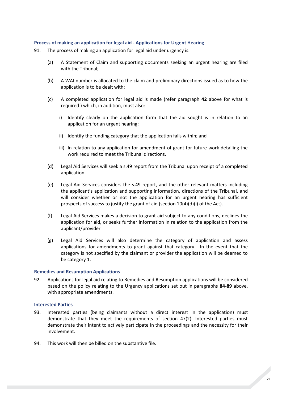### <span id="page-24-0"></span>**Process of making an application for legal aid - Applications for Urgent Hearing**

- 91. The process of making an application for legal aid under urgency is:
	- (a) A Statement of Claim and supporting documents seeking an urgent hearing are filed with the Tribunal;
	- (b) A WAI number is allocated to the claim and preliminary directions issued as to how the application is to be dealt with;
	- (c) A completed application for legal aid is made (refer paragraph **42** above for what is required ) which, in addition, must also:
		- i) Identify clearly on the application form that the aid sought is in relation to an application for an urgent hearing;
		- ii) Identify the funding category that the application falls within; and
		- iii) In relation to any application for amendment of grant for future work detailing the work required to meet the Tribunal directions.
	- (d) Legal Aid Services will seek a s.49 report from the Tribunal upon receipt of a completed application
	- (e) Legal Aid Services considers the s.49 report, and the other relevant matters including the applicant's application and supporting information, directions of the Tribunal, and will consider whether or not the application for an urgent hearing has sufficient prospects of success to justify the grant of aid (section 10(4)(d)(i) of the Act).
	- (f) Legal Aid Services makes a decision to grant aid subject to any conditions, declines the application for aid, or seeks further information in relation to the application from the applicant/provider
	- (g) Legal Aid Services will also determine the category of application and assess applications for amendments to grant against that category. In the event that the category is not specified by the claimant or provider the application will be deemed to be category 1.

### <span id="page-24-1"></span>**Remedies and Resumption Applications**

92. Applications for legal aid relating to Remedies and Resumption applications will be considered based on the policy relating to the Urgency applications set out in paragraphs **84-89** above, with appropriate amendments.

### <span id="page-24-2"></span>**Interested Parties**

- 93. Interested parties (being claimants without a direct interest in the application) must demonstrate that they meet the requirements of section 47(2). Interested parties must demonstrate their intent to actively participate in the proceedings and the necessity for their involvement.
- 94. This work will then be billed on the substantive file.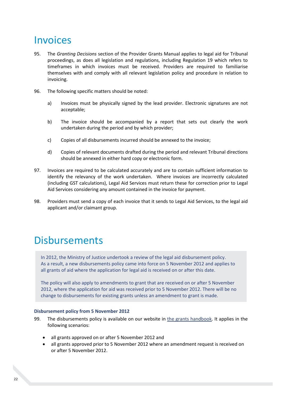### <span id="page-25-0"></span>Invoices

- 95. The *Granting Decisions* section of the Provider Grants Manual applies to legal aid for Tribunal proceedings, as does all legislation and regulations, including Regulation 19 which refers to timeframes in which invoices must be received. Providers are required to familiarise themselves with and comply with all relevant legislation policy and procedure in relation to invoicing.
- 96. The following specific matters should be noted:
	- a) Invoices must be physically signed by the lead provider. Electronic signatures are not acceptable;
	- b) The invoice should be accompanied by a report that sets out clearly the work undertaken during the period and by which provider;
	- c) Copies of all disbursements incurred should be annexed to the invoice;
	- d) Copies of relevant documents drafted during the period and relevant Tribunal directions should be annexed in either hard copy or electronic form.
- 97. Invoices are required to be calculated accurately and are to contain sufficient information to identify the relevancy of the work undertaken. Where invoices are incorrectly calculated (including GST calculations), Legal Aid Services must return these for correction prior to Legal Aid Services considering any amount contained in the invoice for payment.
- <span id="page-25-1"></span>98. Providers must send a copy of each invoice that it sends to Legal Aid Services, to the legal aid applicant and/or claimant group.

### Disbursements

In 2012, the Ministry of Justice undertook a review of the legal aid disbursement policy. As a result, a new disbursements policy came into force on 5 November 2012 and applies to all grants of aid where the application for legal aid is received on or after this date.

The policy will also apply to amendments to grant that are received on or after 5 November 2012, where the application for aid was received prior to 5 November 2012. There will be no change to disbursements for existing grants unless an amendment to grant is made.

### <span id="page-25-2"></span>**Disbursement policy from 5 November 2012**

- 99. The disbursements policy is available on our website in [the grants handbook.](http://www.justice.govt.nz/about/lawyers-and-service-providers/legal-aid-lawyers/legal-aid-provider-manuals/grants-handbook/) It applies in the following scenarios:
	- all grants approved on or after 5 November 2012 and
	- all grants approved prior to 5 November 2012 where an amendment request is received on or after 5 November 2012.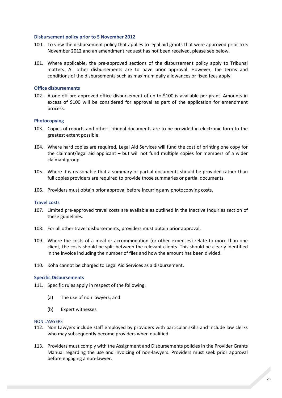### <span id="page-26-0"></span>**Disbursement policy prior to 5 November 2012**

- 100. To view the disbursement policy that applies to legal aid grants that were approved prior to 5 November 2012 and an amendment request has not been received, please see below.
- 101. Where applicable, the pre-approved sections of the disbursement policy apply to Tribunal matters. All other disbursements are to have prior approval. However, the terms and conditions of the disbursements such as maximum daily allowances or fixed fees apply.

### <span id="page-26-1"></span>**Office disbursements**

102. A one off pre-approved office disbursement of up to \$100 is available per grant. Amounts in excess of \$100 will be considered for approval as part of the application for amendment process.

### <span id="page-26-2"></span>**Photocopying**

- 103. Copies of reports and other Tribunal documents are to be provided in electronic form to the greatest extent possible.
- 104. Where hard copies are required, Legal Aid Services will fund the cost of printing one copy for the claimant/legal aid applicant – but will not fund multiple copies for members of a wider claimant group.
- 105. Where it is reasonable that a summary or partial documents should be provided rather than full copies providers are required to provide those summaries or partial documents.
- 106. Providers must obtain prior approval before incurring any photocopying costs.

### <span id="page-26-3"></span>**Travel costs**

- 107. Limited pre-approved travel costs are available as outlined in the Inactive Inquiries section of these guidelines.
- 108. For all other travel disbursements, providers must obtain prior approval.
- 109. Where the costs of a meal or accommodation (or other expenses) relate to more than one client, the costs should be split between the relevant clients. This should be clearly identified in the invoice including the number of files and how the amount has been divided.
- 110. Koha cannot be charged to Legal Aid Services as a disbursement.

### <span id="page-26-4"></span>**Specific Disbursements**

- 111. Specific rules apply in respect of the following:
	- (a) The use of non lawyers; and
	- (b) Expert witnesses

#### NON LAWYERS

- 112. Non Lawyers include staff employed by providers with particular skills and include law clerks who may subsequently become providers when qualified.
- 113. Providers must comply with the Assignment and Disbursements policies in the Provider Grants Manual regarding the use and invoicing of non-lawyers. Providers must seek prior approval before engaging a non-lawyer.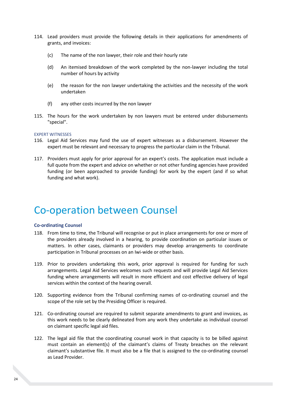- 114. Lead providers must provide the following details in their applications for amendments of grants, and invoices:
	- (c) The name of the non lawyer, their role and their hourly rate
	- (d) An itemised breakdown of the work completed by the non-lawyer including the total number of hours by activity
	- (e) the reason for the non lawyer undertaking the activities and the necessity of the work undertaken
	- (f) any other costs incurred by the non lawyer
- 115. The hours for the work undertaken by non lawyers must be entered under disbursements "special".

### EXPERT WITNESSES

- 116. Legal Aid Services may fund the use of expert witnesses as a disbursement. However the expert must be relevant and necessary to progress the particular claim in the Tribunal.
- 117. Providers must apply for prior approval for an expert's costs. The application must include a full quote from the expert and advice on whether or not other funding agencies have provided funding (or been approached to provide funding) for work by the expert (and if so what funding and what work).

### <span id="page-27-0"></span>Co-operation between Counsel

### <span id="page-27-1"></span>**Co-ordinating Counsel**

- 118. From time to time, the Tribunal will recognise or put in place arrangements for one or more of the providers already involved in a hearing, to provide coordination on particular issues or matters. In other cases, claimants or providers may develop arrangements to coordinate participation in Tribunal processes on an Iwi-wide or other basis.
- 119. Prior to providers undertaking this work, prior approval is required for funding for such arrangements. Legal Aid Services welcomes such requests and will provide Legal Aid Services funding where arrangements will result in more efficient and cost effective delivery of legal services within the context of the hearing overall.
- 120. Supporting evidence from the Tribunal confirming names of co-ordinating counsel and the scope of the role set by the Presiding Officer is required.
- 121. Co-ordinating counsel are required to submit separate amendments to grant and invoices, as this work needs to be clearly delineated from any work they undertake as individual counsel on claimant specific legal aid files.
- 122. The legal aid file that the coordinating counsel work in that capacity is to be billed against must contain an element(s) of the claimant's claims of Treaty breaches on the relevant claimant's substantive file. It must also be a file that is assigned to the co-ordinating counsel as Lead Provider.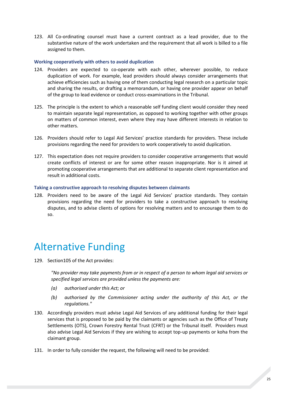123. All Co-ordinating counsel must have a current contract as a lead provider, due to the substantive nature of the work undertaken and the requirement that all work is billed to a file assigned to them.

### <span id="page-28-0"></span>**Working cooperatively with others to avoid duplication**

- 124. Providers are expected to co-operate with each other, wherever possible, to reduce duplication of work. For example, lead providers should always consider arrangements that achieve efficiencies such as having one of them conducting legal research on a particular topic and sharing the results, or drafting a memorandum, or having one provider appear on behalf of the group to lead evidence or conduct cross-examinations in the Tribunal.
- 125. The principle is the extent to which a reasonable self funding client would consider they need to maintain separate legal representation, as opposed to working together with other groups on matters of common interest, even where they may have different interests in relation to other matters.
- 126. Providers should refer to Legal Aid Services' practice standards for providers. These include provisions regarding the need for providers to work cooperatively to avoid duplication.
- 127. This expectation does not require providers to consider cooperative arrangements that would create conflicts of interest or are for some other reason inappropriate. Nor is it aimed at promoting cooperative arrangements that are additional to separate client representation and result in additional costs.

#### <span id="page-28-1"></span>**Taking a constructive approach to resolving disputes between claimants**

128. Providers need to be aware of the Legal Aid Services' practice standards. They contain provisions regarding the need for providers to take a constructive approach to resolving disputes, and to advise clients of options for resolving matters and to encourage them to do so.

### <span id="page-28-2"></span>Alternative Funding

129. Section105 of the Act provides:

*"No provider may take payments from or in respect of a person to whom legal aid services or specified legal services are provided unless the payments are:*

- *(a) authorised under this Act; or*
- *(b) authorised by the Commissioner acting under the authority of this Act, or the regulations."*
- 130. Accordingly providers must advise Legal Aid Services of any additional funding for their legal services that is proposed to be paid by the claimants or agencies such as the Office of Treaty Settlements (OTS), Crown Forestry Rental Trust (CFRT) or the Tribunal itself. Providers must also advise Legal Aid Services if they are wishing to accept top-up payments or koha from the claimant group.
- 131. In order to fully consider the request, the following will need to be provided: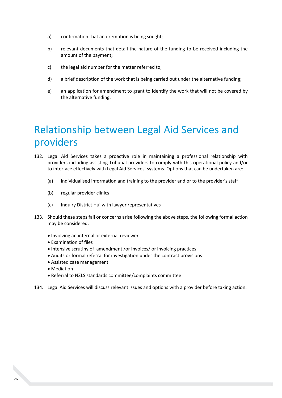- a) confirmation that an exemption is being sought;
- b) relevant documents that detail the nature of the funding to be received including the amount of the payment;
- c) the legal aid number for the matter referred to;
- d) a brief description of the work that is being carried out under the alternative funding;
- e) an application for amendment to grant to identify the work that will not be covered by the alternative funding.

# <span id="page-29-0"></span>Relationship between Legal Aid Services and providers

- 132. Legal Aid Services takes a proactive role in maintaining a professional relationship with providers including assisting Tribunal providers to comply with this operational policy and/or to interface effectively with Legal Aid Services' systems. Options that can be undertaken are:
	- (a) individualised information and training to the provider and or to the provider's staff
	- (b) regular provider clinics
	- (c) Inquiry District Hui with lawyer representatives
- 133. Should these steps fail or concerns arise following the above steps, the following formal action may be considered.
	- Involving an internal or external reviewer
	- Examination of files
	- Intensive scrutiny of amendment /or invoices/ or invoicing practices
	- Audits or formal referral for investigation under the contract provisions
	- Assisted case management.
	- Mediation
	- Referral to NZLS standards committee/complaints committee
- 134. Legal Aid Services will discuss relevant issues and options with a provider before taking action.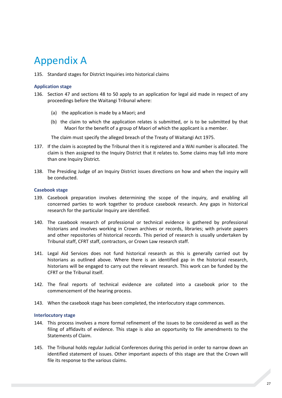# <span id="page-30-0"></span>Appendix A

135. Standard stages for District Inquiries into historical claims

### <span id="page-30-1"></span>**Application stage**

- 136. Section 47 and sections 48 to 50 apply to an application for legal aid made in respect of any proceedings before the Waitangi Tribunal where:
	- (a) the application is made by a Maori; and
	- (b) the claim to which the application relates is submitted, or is to be submitted by that Maori for the benefit of a group of Maori of which the applicant is a member.

The claim must specify the alleged breach of the Treaty of Waitangi Act 1975.

- 137. If the claim is accepted by the Tribunal then it is registered and a WAI number is allocated. The claim is then assigned to the Inquiry District that it relates to. Some claims may fall into more than one Inquiry District.
- 138. The Presiding Judge of an Inquiry District issues directions on how and when the inquiry will be conducted.

### <span id="page-30-2"></span>**Casebook stage**

- 139. Casebook preparation involves determining the scope of the inquiry, and enabling all concerned parties to work together to produce casebook research. Any gaps in historical research for the particular Inquiry are identified.
- 140. The casebook research of professional or technical evidence is gathered by professional historians and involves working in Crown archives or records, libraries; with private papers and other repositories of historical records. This period of research is usually undertaken by Tribunal staff, CFRT staff, contractors, or Crown Law research staff.
- 141. Legal Aid Services does not fund historical research as this is generally carried out by historians as outlined above. Where there is an identified gap in the historical research, historians will be engaged to carry out the relevant research. This work can be funded by the CFRT or the Tribunal itself.
- 142. The final reports of technical evidence are collated into a casebook prior to the commencement of the hearing process.
- 143. When the casebook stage has been completed, the interlocutory stage commences.

### <span id="page-30-3"></span>**Interlocutory stage**

- 144. This process involves a more formal refinement of the issues to be considered as well as the filing of affidavits of evidence. This stage is also an opportunity to file amendments to the Statements of Claim.
- 145. The Tribunal holds regular Judicial Conferences during this period in order to narrow down an identified statement of issues. Other important aspects of this stage are that the Crown will file its response to the various claims.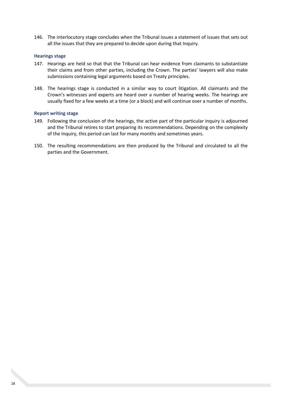146. The interlocutory stage concludes when the Tribunal issues a statement of issues that sets out all the issues that they are prepared to decide upon during that Inquiry.

### <span id="page-31-0"></span>**Hearings stage**

- 147. Hearings are held so that that the Tribunal can hear evidence from claimants to substantiate their claims and from other parties, including the Crown. The parties' lawyers will also make submissions containing legal arguments based on Treaty principles.
- 148. The hearings stage is conducted in a similar way to court litigation. All claimants and the Crown's witnesses and experts are heard over a number of hearing weeks. The hearings are usually fixed for a few weeks at a time (or a block) and will continue over a number of months.

### <span id="page-31-1"></span>**Report writing stage**

- 149. Following the conclusion of the hearings, the active part of the particular inquiry is adjourned and the Tribunal retires to start preparing its recommendations. Depending on the complexity of the Inquiry, this period can last for many months and sometimes years.
- 150. The resulting recommendations are then produced by the Tribunal and circulated to all the parties and the Government.